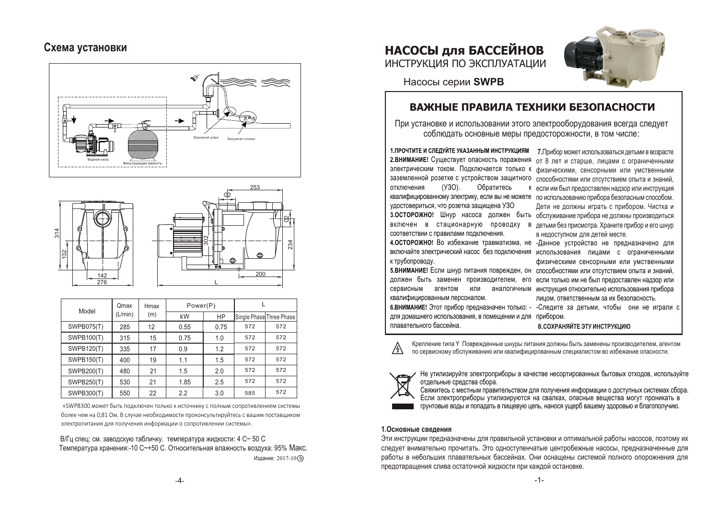# Схема установки





| Model             | Qmax<br>(L/min) | Hmax<br>(m) | Power(P) |      |                          |     |
|-------------------|-----------------|-------------|----------|------|--------------------------|-----|
|                   |                 |             | kW       | HP   | Single Phase Three Phase |     |
| <b>SWPB075(T)</b> | 285             | 12          | 0.55     | 0.75 | 572                      | 572 |
| <b>SWPB100(T)</b> | 315             | 15          | 0.75     | 1.0  | 572                      | 572 |
| <b>SWPB120(T)</b> | 335             | 17          | 0.9      | 1.2  | 572                      | 572 |
| <b>SWPB150(T)</b> | 400             | 19          | 1.1      | 1.5  | 572                      | 572 |
| SWPB200(T)        | 480             | 21          | 1.5      | 2.0  | 572                      | 572 |
| <b>SWPB250(T)</b> | 530             | 21          | 1.85     | 2.5  | 572                      | 572 |
| SWPB300(T)        | 550             | 22          | 2.2      | 3.0  | 585                      | 572 |

«SWPB300 может быть полключен только к источнику с полным сопротивлением системы более чем на 0.81 Ом. В случае необходимости проконсультируйтесь с вашим поставщиком электропитания для получения информации о сопротивлении системы».

В/Гц спец: см. заводскую табличку. температура жидкости: 4 С~50 С Температура хранения: - 10 С ~ + 50 С. Относительная влажность воздуха: 95% Макс. Излание: 2017-10 (b)





Насосы серии SWPB

# ВАЖНЫЕ ПРАВИЛА ТЕХНИКИ БЕЗОПАСНОСТИ

При установке и использовании этого электрооборудования всегда следует соблюдать основные меры предосторожности, в том числе:

1. ПРОЧТИТЕ И СЛЕДУЙТЕ УКАЗАННЫМ ИНСТРУКЦИЯМ 7. Прибор может использоваться летьми в возрасте 2. ВНИМАНИЕ! Существует опасность поражения от 8 лет и старше, лицами с ограниченными электрическим током. Подключается только к физическими, сенсорными или умственными заземленной розетке с устройством защитного способностями или отсутствием опыта и знаний, отключения  $(Y3O)$ . Обратитесь квалифицированному электрику, если вы не можете по использованию прибора безопасным способом. удостовериться, что розетка защищена УЗО 3. ОСТОРОЖНО! Шнур насоса должен быть обслуживание прибора не должны производиться включен в стационарную проводку в детьми без присмотра. Храните прибор и его шнур соответствии с правилами подключения. 4. ОСТОРОЖНО! Во избежание травматизма, не -Данное устройство не предназначено для включайте электрический насос без подключения использования лицами с ограниченными к трубопроводу.

сервисным агентом или квалифицированным персоналом.

к если им был предоставлен надзор или инструкция Дети не должны играть с прибором. Чистка и в недоступном для детей месте.

физическими сенсорными или умственными 5. ВНИМАНИЕ! Если шнур питания поврежден, он способностями или отсутствием опыта и знаний, должен быть заменен производителем, его если только им не был предоставлен надзор или аналогичным инструкция относительно использования прибора лицом, ответственным за их безопасность.

6.ВНИМАНИЕ! Этот прибор предназначен только: - -Следите за детьми, чтобы они не играли с лля ломашнего использования, в помещении и лля прибором.

8. СОХРАНЯЙТЕ ЭТУ ИНСТРУКЦИЮ

плавательного бассейна.

Крепление типа Y Повеежденные шнуры питания должны быть заменены производителем, агентом по сервисному обслуживанию или квалифицированным специалистом во избежание опасности.



Не утилизируйте электроприборы в качестве несортированных бытовых отходов, используйте отдельные средства сбора.

Свяжитесь с местным правительством для получения информации о доступных системах сбора. Если электроприборы утилизируются на свалках, опасные вещества могут проникать в грунтовые воды и попадать в пишевую цепь, нанося ушерб вашему здоровью и благополучию.

#### 1. Основные сведения

Эти инструкции предназначены для правильной установки и оптимальной работы насосов, поэтому их следует внимательно прочитать. Это одноступенчатые центробежные насосы, предназначенные для работы в небольших плавательных бассейнах. Они оснашены системой полного опорожнения для предотвращения слива остаточной жидкости при каждой остановке.